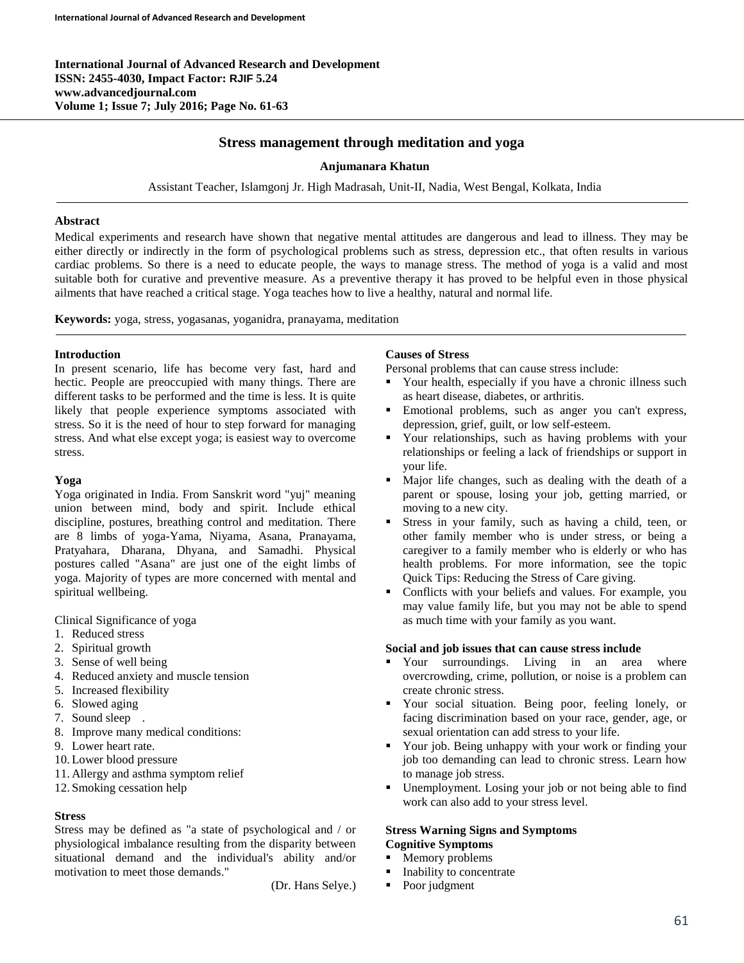**International Journal of Advanced Research and Development ISSN: 2455-4030, Impact Factor: RJIF 5.24 www.advancedjournal.com Volume 1; Issue 7; July 2016; Page No. 61-63**

# **Stress management through meditation and yoga**

#### **Anjumanara Khatun**

Assistant Teacher, Islamgonj Jr. High Madrasah, Unit-II, Nadia, West Bengal, Kolkata, India

#### **Abstract**

Medical experiments and research have shown that negative mental attitudes are dangerous and lead to illness. They may be either directly or indirectly in the form of psychological problems such as stress, depression etc., that often results in various cardiac problems. So there is a need to educate people, the ways to manage stress. The method of yoga is a valid and most suitable both for curative and preventive measure. As a preventive therapy it has proved to be helpful even in those physical ailments that have reached a critical stage. Yoga teaches how to live a healthy, natural and normal life.

**Keywords:** yoga, stress, yogasanas, yoganidra, pranayama, meditation

#### **Introduction**

In present scenario, life has become very fast, hard and hectic. People are preoccupied with many things. There are different tasks to be performed and the time is less. It is quite likely that people experience symptoms associated with stress. So it is the need of hour to step forward for managing stress. And what else except yoga; is easiest way to overcome stress.

#### **Yoga**

Yoga originated in India. From Sanskrit word "yuj" meaning union between mind, body and spirit. Include ethical discipline, postures, breathing control and meditation. There are 8 limbs of yoga-Yama, Niyama, Asana, Pranayama, Pratyahara, Dharana, Dhyana, and Samadhi. Physical postures called "Asana" are just one of the eight limbs of yoga. Majority of types are more concerned with mental and spiritual wellbeing.

Clinical Significance of yoga

- 1. Reduced stress
- 2. Spiritual growth
- 3. Sense of well being
- 4. Reduced anxiety and muscle tension
- 5. Increased flexibility
- 6. Slowed aging
- 7. Sound sleep .
- 8. Improve many medical conditions:
- 9. Lower heart rate.
- 10. Lower blood pressure
- 11. Allergy and asthma symptom relief
- 12. Smoking cessation help

## **Stress**

Stress may be defined as "a state of psychological and / or physiological imbalance resulting from the disparity between situational demand and the individual's ability and/or motivation to meet those demands."

(Dr. Hans Selye.)

### **Causes of Stress**

Personal problems that can cause stress include:

- Your health, especially if you have a chronic illness such as heart disease, diabetes, or arthritis.
- Emotional problems, such as anger you can't express, depression, grief, guilt, or low self-esteem.
- Your relationships, such as having problems with your relationships or feeling a lack of friendships or support in your life.
- Major life changes, such as dealing with the death of a parent or spouse, losing your job, getting married, or moving to a new city.
- Stress in your family, such as having a child, teen, or other family member who is under stress, or being a caregiver to a family member who is elderly or who has health problems. For more information, see the topic Quick Tips: Reducing the Stress of Care giving.
- Conflicts with your beliefs and values. For example, you may value family life, but you may not be able to spend as much time with your family as you want.

#### **Social and job issues that can cause stress include**

- Your surroundings. Living in an area where overcrowding, crime, pollution, or noise is a problem can create chronic stress.
- Your social situation. Being poor, feeling lonely, or facing discrimination based on your race, gender, age, or sexual orientation can add stress to your life.
- Your job. Being unhappy with your work or finding your job too demanding can lead to chronic stress. Learn how to manage job stress.
- Unemployment. Losing your job or not being able to find work can also add to your stress level.

### **Stress Warning Signs and Symptoms Cognitive Symptoms**

- Memory problems
- Inability to concentrate
- Poor judgment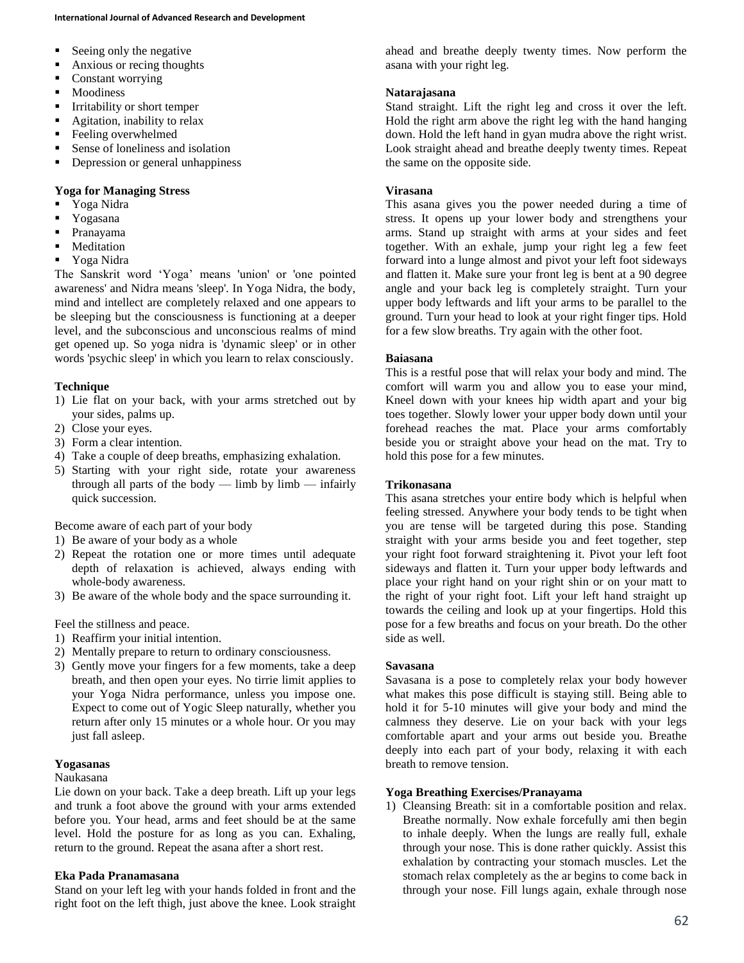- Seeing only the negative
- Anxious or recing thoughts
- Constant worrying
- **Moodiness**
- **I**rritability or short temper
- **Agitation, inability to relax**
- **Feeling overwhelmed**
- Sense of loneliness and isolation
- Depression or general unhappiness

### **Yoga for Managing Stress**

- Yoga Nidra
- **Y**ogasana
- Pranayama
- **Meditation**
- Yoga Nidra

The Sanskrit word 'Yoga' means 'union' or 'one pointed awareness' and Nidra means 'sleep'. In Yoga Nidra, the body, mind and intellect are completely relaxed and one appears to be sleeping but the consciousness is functioning at a deeper level, and the subconscious and unconscious realms of mind get opened up. So yoga nidra is 'dynamic sleep' or in other words 'psychic sleep' in which you learn to relax consciously.

## **Technique**

- 1) Lie flat on your back, with your arms stretched out by your sides, palms up.
- 2) Close your eyes.
- 3) Form a clear intention.
- 4) Take a couple of deep breaths, emphasizing exhalation.
- 5) Starting with your right side, rotate your awareness through all parts of the body — limb by  $limb$  — infairly quick succession.

Become aware of each part of your body

- 1) Be aware of your body as a whole
- 2) Repeat the rotation one or more times until adequate depth of relaxation is achieved, always ending with whole-body awareness.
- 3) Be aware of the whole body and the space surrounding it.

Feel the stillness and peace.

- 1) Reaffirm your initial intention.
- 2) Mentally prepare to return to ordinary consciousness.
- 3) Gently move your fingers for a few moments, take a deep breath, and then open your eyes. No tirrie limit applies to your Yoga Nidra performance, unless you impose one. Expect to come out of Yogic Sleep naturally, whether you return after only 15 minutes or a whole hour. Or you may just fall asleep.

# **Yogasanas**

## Naukasana

Lie down on your back. Take a deep breath. Lift up your legs and trunk a foot above the ground with your arms extended before you. Your head, arms and feet should be at the same level. Hold the posture for as long as you can. Exhaling, return to the ground. Repeat the asana after a short rest.

## **Eka Pada Pranamasana**

Stand on your left leg with your hands folded in front and the right foot on the left thigh, just above the knee. Look straight ahead and breathe deeply twenty times. Now perform the asana with your right leg.

### **Natarajasana**

Stand straight. Lift the right leg and cross it over the left. Hold the right arm above the right leg with the hand hanging down. Hold the left hand in gyan mudra above the right wrist. Look straight ahead and breathe deeply twenty times. Repeat the same on the opposite side.

### **Virasana**

This asana gives you the power needed during a time of stress. It opens up your lower body and strengthens your arms. Stand up straight with arms at your sides and feet together. With an exhale, jump your right leg a few feet forward into a lunge almost and pivot your left foot sideways and flatten it. Make sure your front leg is bent at a 90 degree angle and your back leg is completely straight. Turn your upper body leftwards and lift your arms to be parallel to the ground. Turn your head to look at your right finger tips. Hold for a few slow breaths. Try again with the other foot.

#### **Baiasana**

This is a restful pose that will relax your body and mind. The comfort will warm you and allow you to ease your mind, Kneel down with your knees hip width apart and your big toes together. Slowly lower your upper body down until your forehead reaches the mat. Place your arms comfortably beside you or straight above your head on the mat. Try to hold this pose for a few minutes.

#### **Trikonasana**

This asana stretches your entire body which is helpful when feeling stressed. Anywhere your body tends to be tight when you are tense will be targeted during this pose. Standing straight with your arms beside you and feet together, step your right foot forward straightening it. Pivot your left foot sideways and flatten it. Turn your upper body leftwards and place your right hand on your right shin or on your matt to the right of your right foot. Lift your left hand straight up towards the ceiling and look up at your fingertips. Hold this pose for a few breaths and focus on your breath. Do the other side as well.

#### **Savasana**

Savasana is a pose to completely relax your body however what makes this pose difficult is staying still. Being able to hold it for 5-10 minutes will give your body and mind the calmness they deserve. Lie on your back with your legs comfortable apart and your arms out beside you. Breathe deeply into each part of your body, relaxing it with each breath to remove tension.

## **Yoga Breathing Exercises/Pranayama**

1) Cleansing Breath: sit in a comfortable position and relax. Breathe normally. Now exhale forcefully ami then begin to inhale deeply. When the lungs are really full, exhale through your nose. This is done rather quickly. Assist this exhalation by contracting your stomach muscles. Let the stomach relax completely as the ar begins to come back in through your nose. Fill lungs again, exhale through nose